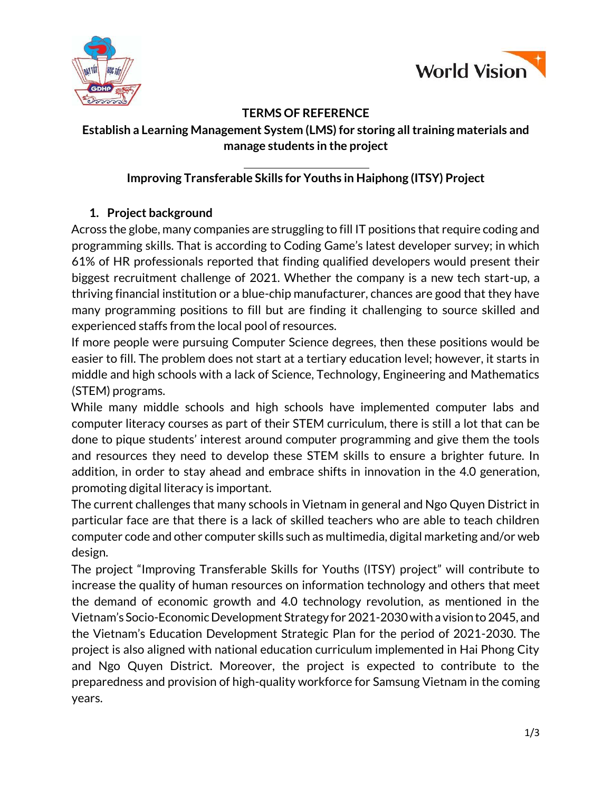



### **TERMS OF REFERENCE**

# **Establish a Learning Management System (LMS) for storing all training materials and manage students in the project**

# **Improving Transferable Skills for Youths in Haiphong (ITSY) Project**

## **1. Project background**

Across the globe, many companies are struggling to fill IT positions that require coding and programming skills. That is according to Coding Game's latest developer survey; in which 61% of HR professionals reported that finding qualified developers would present their biggest recruitment challenge of 2021. Whether the company is a new tech start-up, a thriving financial institution or a blue-chip manufacturer, chances are good that they have many programming positions to fill but are finding it challenging to source skilled and experienced staffs from the local pool of resources.

If more people were pursuing Computer Science degrees, then these positions would be easier to fill. The problem does not start at a tertiary education level; however, it starts in middle and high schools with a lack of Science, Technology, Engineering and Mathematics (STEM) programs.

While many middle schools and high schools have implemented computer labs and computer literacy courses as part of their STEM curriculum, there is still a lot that can be done to pique students' interest around computer programming and give them the tools and resources they need to develop these STEM skills to ensure a brighter future. In addition, in order to stay ahead and embrace shifts in innovation in the 4.0 generation, promoting digital literacy is important.

The current challenges that many schools in Vietnam in general and Ngo Quyen District in particular face are that there is a lack of skilled teachers who are able to teach children computer code and other computer skills such as multimedia, digital marketing and/or web design.

The project "Improving Transferable Skills for Youths (ITSY) project" will contribute to increase the quality of human resources on information technology and others that meet the demand of economic growth and 4.0 technology revolution, as mentioned in the Vietnam's Socio-Economic Development Strategy for 2021-2030 with a vision to 2045, and the Vietnam's Education Development Strategic Plan for the period of 2021-2030. The project is also aligned with national education curriculum implemented in Hai Phong City and Ngo Quyen District. Moreover, the project is expected to contribute to the preparedness and provision of high-quality workforce for Samsung Vietnam in the coming years.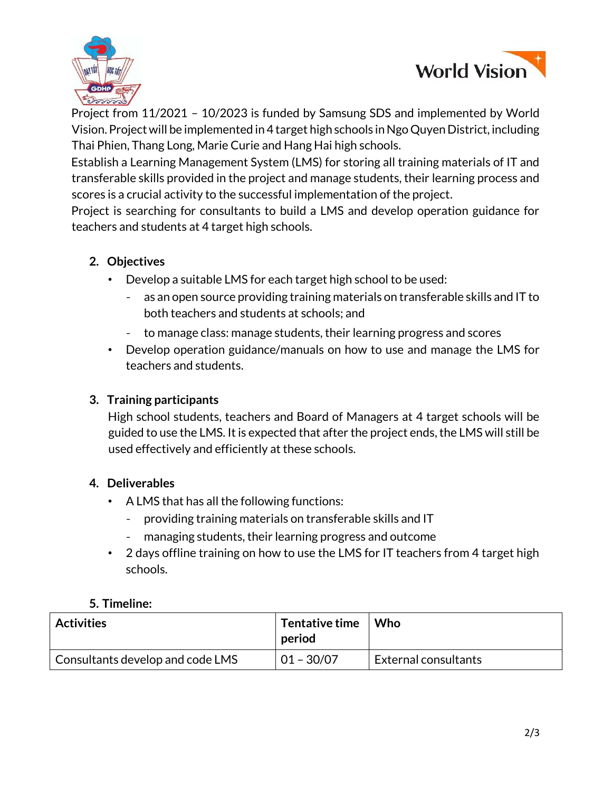



Project from 11/2021 – 10/2023 is funded by Samsung SDS and implemented by World Vision. Project will be implemented in 4 target high schools in Ngo Quyen District, including Thai Phien, Thang Long, Marie Curie and Hang Hai high schools.

Establish a Learning Management System (LMS) for storing all training materials of IT and transferable skills provided in the project and manage students, their learning process and scores is a crucial activity to the successful implementation of the project.

Project is searching for consultants to build a LMS and develop operation guidance for teachers and students at 4 target high schools.

### **2. Objectives**

- Develop a suitable LMS for each target high school to be used:
	- as an open source providing training materials on transferable skills and IT to both teachers and students at schools; and
	- to manage class: manage students, their learning progress and scores
- Develop operation guidance/manuals on how to use and manage the LMS for teachers and students.

### **3. Training participants**

High school students, teachers and Board of Managers at 4 target schools will be guided to use the LMS. It is expected that after the project ends, the LMS will still be used effectively and efficiently at these schools.

## **4. Deliverables**

- A LMS that has all the following functions:
	- providing training materials on transferable skills and IT
	- managing students, their learning progress and outcome
- 2 days offline training on how to use the LMS for IT teachers from 4 target high schools.

#### **5. Timeline:**

| <b>Activities</b>                | Tentative time   Who<br>period |                             |
|----------------------------------|--------------------------------|-----------------------------|
| Consultants develop and code LMS | $01 - 30/07$                   | <b>External consultants</b> |